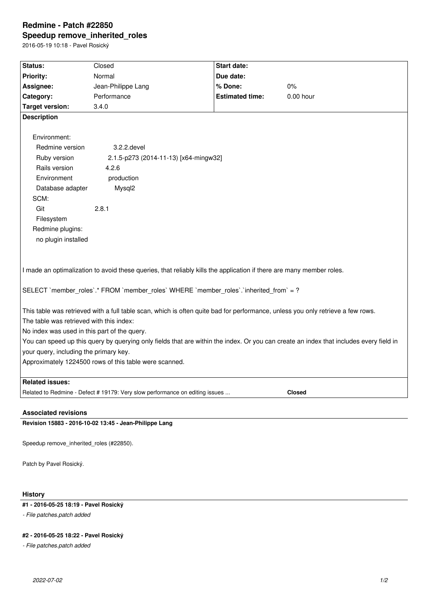# **Redmine - Patch #22850 Speedup remove\_inherited\_roles**

2016-05-19 10:18 - Pavel Rosický

| Status:                                                                                                                                | Closed                                | <b>Start date:</b>     |             |  |  |  |
|----------------------------------------------------------------------------------------------------------------------------------------|---------------------------------------|------------------------|-------------|--|--|--|
| <b>Priority:</b>                                                                                                                       | Normal                                | Due date:              |             |  |  |  |
| Assignee:                                                                                                                              | Jean-Philippe Lang                    | % Done:                | 0%          |  |  |  |
| Category:                                                                                                                              | Performance                           | <b>Estimated time:</b> | $0.00$ hour |  |  |  |
| <b>Target version:</b>                                                                                                                 | 3.4.0                                 |                        |             |  |  |  |
| <b>Description</b>                                                                                                                     |                                       |                        |             |  |  |  |
|                                                                                                                                        |                                       |                        |             |  |  |  |
| Environment:                                                                                                                           |                                       |                        |             |  |  |  |
| Redmine version                                                                                                                        | 3.2.2.devel                           |                        |             |  |  |  |
| Ruby version                                                                                                                           | 2.1.5-p273 (2014-11-13) [x64-mingw32] |                        |             |  |  |  |
| Rails version                                                                                                                          | 4.2.6                                 |                        |             |  |  |  |
| Environment                                                                                                                            | production                            |                        |             |  |  |  |
| Database adapter                                                                                                                       | Mysql2                                |                        |             |  |  |  |
| SCM:                                                                                                                                   |                                       |                        |             |  |  |  |
| Git                                                                                                                                    | 2.8.1                                 |                        |             |  |  |  |
| Filesystem                                                                                                                             |                                       |                        |             |  |  |  |
| Redmine plugins:                                                                                                                       |                                       |                        |             |  |  |  |
| no plugin installed                                                                                                                    |                                       |                        |             |  |  |  |
|                                                                                                                                        |                                       |                        |             |  |  |  |
|                                                                                                                                        |                                       |                        |             |  |  |  |
| I made an optimalization to avoid these queries, that reliably kills the application if there are many member roles.                   |                                       |                        |             |  |  |  |
|                                                                                                                                        |                                       |                        |             |  |  |  |
| SELECT `member_roles`.* FROM `member_roles` WHERE `member_roles`.`inherited_from` = ?                                                  |                                       |                        |             |  |  |  |
|                                                                                                                                        |                                       |                        |             |  |  |  |
| This table was retrieved with a full table scan, which is often quite bad for performance, unless you only retrieve a few rows.        |                                       |                        |             |  |  |  |
| The table was retrieved with this index:                                                                                               |                                       |                        |             |  |  |  |
| No index was used in this part of the query.                                                                                           |                                       |                        |             |  |  |  |
| You can speed up this query by querying only fields that are within the index. Or you can create an index that includes every field in |                                       |                        |             |  |  |  |
| your query, including the primary key.                                                                                                 |                                       |                        |             |  |  |  |
| Approximately 1224500 rows of this table were scanned.                                                                                 |                                       |                        |             |  |  |  |
|                                                                                                                                        |                                       |                        |             |  |  |  |
| <b>Related issues:</b>                                                                                                                 |                                       |                        |             |  |  |  |
| Related to Redmine - Defect # 19179: Very slow performance on editing issues<br><b>Closed</b>                                          |                                       |                        |             |  |  |  |
|                                                                                                                                        |                                       |                        |             |  |  |  |

#### **Associated revisions**

**Revision 15883 - 2016-10-02 13:45 - Jean-Philippe Lang**

Speedup remove\_inherited\_roles (#22850).

Patch by Pavel Rosický.

# **History**

# **#1 - 2016-05-25 18:19 - Pavel Rosický**

*- File patches.patch added*

### **#2 - 2016-05-25 18:22 - Pavel Rosický**

*- File patches.patch added*